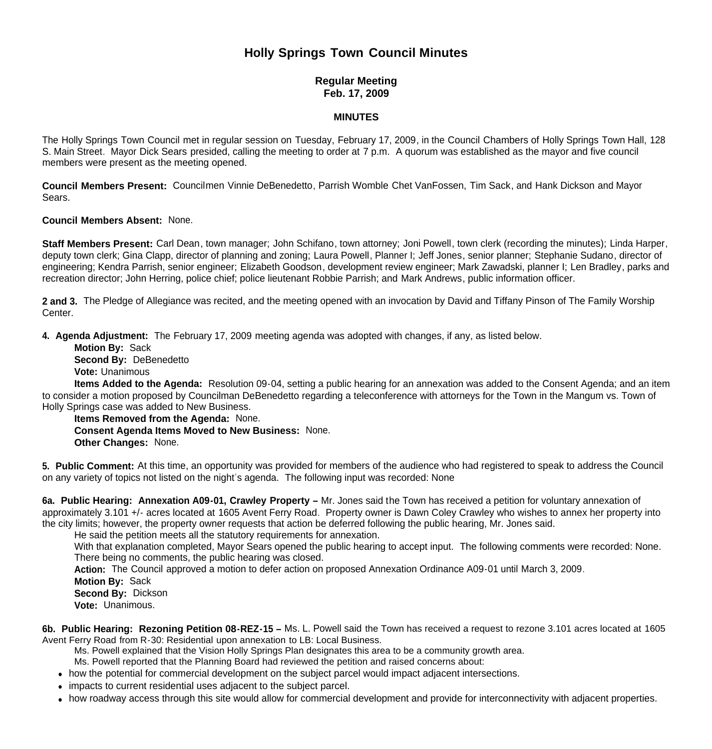# **Holly Springs Town Council Minutes**

# **Regular Meeting Feb. 17, 2009**

#### **MINUTES**

The Holly Springs Town Council met in regular session on Tuesday, February 17, 2009, in the Council Chambers of Holly Springs Town Hall, 128 S. Main Street. Mayor Dick Sears presided, calling the meeting to order at 7 p.m. A quorum was established as the mayor and five council members were present as the meeting opened.

**Council Members Present:** Councilmen Vinnie DeBenedetto, Parrish Womble Chet VanFossen, Tim Sack, and Hank Dickson and Mayor Sears.

#### **Council Members Absent:** None.

**Staff Members Present:** Carl Dean, town manager; John Schifano, town attorney; Joni Powell, town clerk (recording the minutes); Linda Harper, deputy town clerk; Gina Clapp, director of planning and zoning; Laura Powell, Planner I; Jeff Jones, senior planner; Stephanie Sudano, director of engineering; Kendra Parrish, senior engineer; Elizabeth Goodson, development review engineer; Mark Zawadski, planner I; Len Bradley, parks and recreation director; John Herring, police chief; police lieutenant Robbie Parrish; and Mark Andrews, public information officer.

**2 and 3.** The Pledge of Allegiance was recited, and the meeting opened with an invocation by David and Tiffany Pinson of The Family Worship **Center** 

**4. Agenda Adjustment:** The February 17, 2009 meeting agenda was adopted with changes, if any, as listed below.

 **Motion By:** Sack **Second By: DeBenedetto Vote:** Unanimous

**Items Added to the Agenda:** Resolution 09-04, setting a public hearing for an annexation was added to the Consent Agenda; and an item to consider a motion proposed by Councilman DeBenedetto regarding a teleconference with attorneys for the Town in the Mangum vs. Town of Holly Springs case was added to New Business.

 **Items Removed from the Agenda:** None. **Consent Agenda Items Moved to New Business:** None. **Other Changes:** None.

**5. Public Comment:** At this time, an opportunity was provided for members of the audience who had registered to speak to address the Council on any variety of topics not listed on the night's agenda. The following input was recorded: None

**6a. Public Hearing: Annexation A09-01, Crawley Property –** Mr. Jones said the Town has received a petition for voluntary annexation of approximately 3.101 +/- acres located at 1605 Avent Ferry Road. Property owner is Dawn Coley Crawley who wishes to annex her property into the city limits; however, the property owner requests that action be deferred following the public hearing, Mr. Jones said.

He said the petition meets all the statutory requirements for annexation.

With that explanation completed, Mayor Sears opened the public hearing to accept input. The following comments were recorded: None. There being no comments, the public hearing was closed.

**Action:** The Council approved a motion to defer action on proposed Annexation Ordinance A09-01 until March 3, 2009.

**Motion By:** Sack

**Second By:** Dickson

**Vote:** Unanimous.

**6b. Public Hearing: Rezoning Petition 08-REZ-15 –** Ms. L. Powell said the Town has received a request to rezone 3.101 acres located at 1605 Avent Ferry Road from R-30: Residential upon annexation to LB: Local Business.

Ms. Powell explained that the Vision Holly Springs Plan designates this area to be a community growth area.

Ms. Powell reported that the Planning Board had reviewed the petition and raised concerns about:

- how the potential for commercial development on the subject parcel would impact adjacent intersections.
- impacts to current residential uses adjacent to the subject parcel.
- how roadway access through this site would allow for commercial development and provide for interconnectivity with adjacent properties.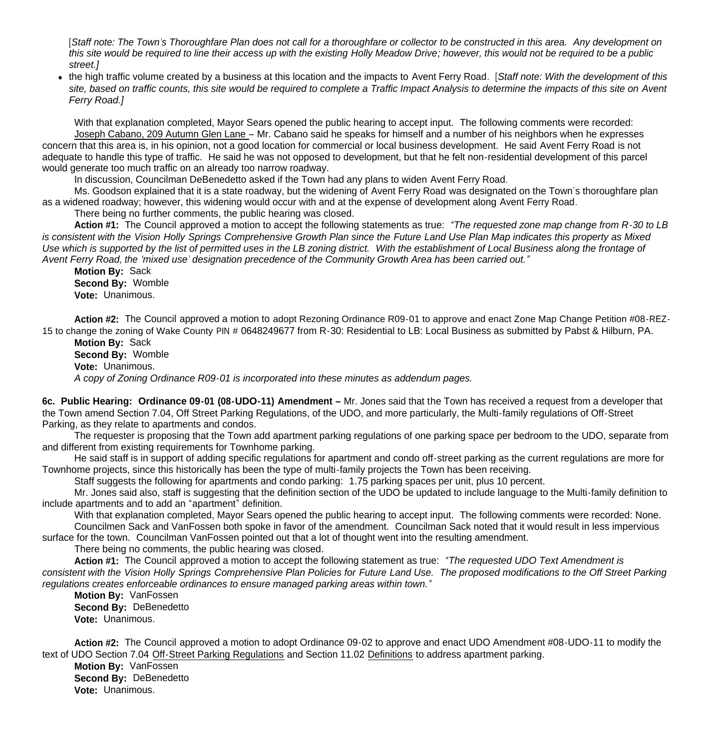[*Staff note: The Town's Thoroughfare Plan does not call for a thoroughfare or collector to be constructed in this area. Any development on this site would be required to line their access up with the existing Holly Meadow Drive; however, this would not be required to be a public street.]*

how roadway access through this site would allow for commercial development and provide for interconnectivity with adjacent properties.

 the high traffic volume created by a business at this location and the impacts to Avent Ferry Road. [*Staff note: With the development of this site, based on traffic counts, this site would be required to complete a Traffic Impact Analysis to determine the impacts of this site on Avent Ferry Road.]*

With that explanation completed. Mayor Sears opened the public hearing to accept input. The following comments were recorded: Joseph Cabano, 209 Autumn Glen Lane – Mr. Cabano said he speaks for himself and a number of his neighbors when he expresses concern that this area is, in his opinion, not a good location for commercial or local business development. He said Avent Ferry Road is not adequate to handle this type of traffic. He said he was not opposed to development, but that he felt non-residential development of this parcel would generate too much traffic on an already too narrow roadway.

In discussion, Councilman DeBenedetto asked if the Town had any plans to widen Avent Ferry Road.

Ms. Goodson explained that it is a state roadway, but the widening of Avent Ferry Road was designated on the Town's thoroughfare plan as a widened roadway; however, this widening would occur with and at the expense of development along Avent Ferry Road.

There being no further comments, the public hearing was closed.

**Action #1:** The Council approved a motion to accept the following statements as true: *"The requested zone map change from R-30 to LB is consistent with the Vision Holly Springs Comprehensive Growth Plan since the Future Land Use Plan Map indicates this property as Mixed Use which is supported by the list of permitted uses in the LB zoning district. With the establishment of Local Business along the frontage of Avent Ferry Road, the 'mixed use' designation precedence of the Community Growth Area has been carried out."*

**Motion By:** Sack **Second By:** Womble **Vote:** Unanimous.

**Action #2:** The Council approved a motion to adopt Rezoning Ordinance R09-01 to approve and enact Zone Map Change Petition #08-REZ-15 to change the zoning of Wake County PIN # 0648249677 from R-30: Residential to LB: Local Business as submitted by Pabst & Hilburn, PA.

**Motion By:** Sack **Second By:** Womble **Vote:** Unanimous. *A copy of Zoning Ordinance R09-01 is incorporated into these minutes as addendum pages.*

**6c. Public Hearing: Ordinance 09-01 (08-UDO-11) Amendment –** Mr. Jones said that the Town has received a request from a developer that the Town amend Section 7.04, Off Street Parking Regulations, of the UDO, and more particularly, the Multi-family regulations of Off-Street Parking, as they relate to apartments and condos.

 The requester is proposing that the Town add apartment parking regulations of one parking space per bedroom to the UDO, separate from and different from existing requirements for Townhome parking.

 He said staff is in support of adding specific regulations for apartment and condo off-street parking as the current regulations are more for Townhome projects, since this historically has been the type of multi-family projects the Town has been receiving.

Staff suggests the following for apartments and condo parking: 1.75 parking spaces per unit, plus 10 percent.

Mr. Jones said also, staff is suggesting that the definition section of the UDO be updated to include language to the Multi-family definition to include apartments and to add an "apartment" definition.

With that explanation completed, Mayor Sears opened the public hearing to accept input. The following comments were recorded: None. Councilmen Sack and VanFossen both spoke in favor of the amendment. Councilman Sack noted that it would result in less impervious surface for the town. Councilman VanFossen pointed out that a lot of thought went into the resulting amendment.

There being no comments, the public hearing was closed.

**Action #1:** The Council approved a motion to accept the following statement as true: *"The requested UDO Text Amendment is consistent with the Vision Holly Springs Comprehensive Plan Policies for Future Land Use. The proposed modifications to the Off Street Parking regulations creates enforceable ordinances to ensure managed parking areas within town."*

**Motion By:** VanFossen **Second By:** DeBenedetto **Vote:** Unanimous.

**Action #2:** The Council approved a motion to adopt Ordinance 09-02 to approve and enact UDO Amendment #08-UDO-11 to modify the text of UDO Section 7.04 Off-Street Parking Regulations and Section 11.02 Definitions to address apartment parking.

**Motion By:** VanFossen **Second By:** DeBenedetto **Vote:** Unanimous.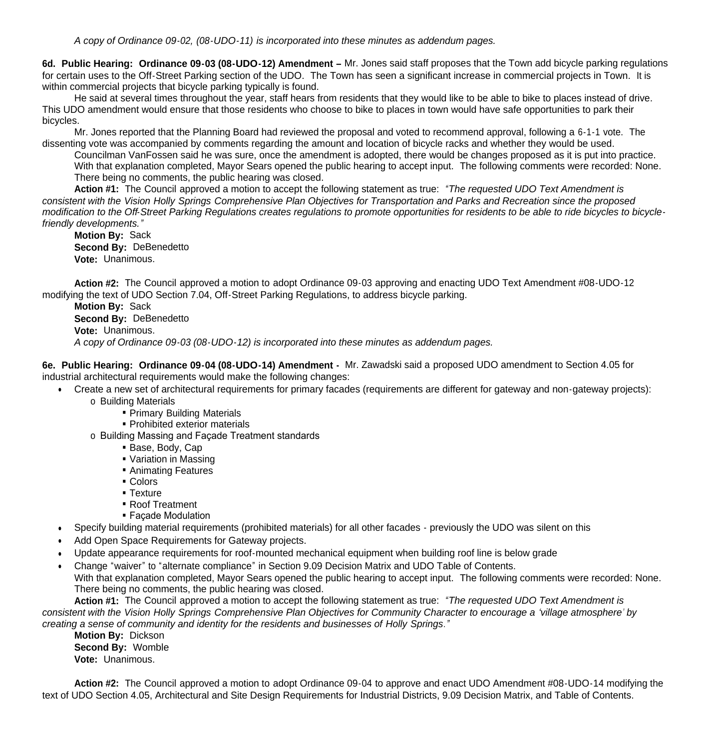**6d. Public Hearing: Ordinance 09-03 (08-UDO-12) Amendment –** Mr. Jones said staff proposes that the Town add bicycle parking regulations for certain uses to the Off-Street Parking section of the UDO. The Town has seen a significant increase in commercial projects in Town. It is within commercial projects that bicycle parking typically is found.

 He said at several times throughout the year, staff hears from residents that they would like to be able to bike to places instead of drive. This UDO amendment would ensure that those residents who choose to bike to places in town would have safe opportunities to park their bicycles.

Mr. Jones reported that the Planning Board had reviewed the proposal and voted to recommend approval, following a 6-1-1 vote. The dissenting vote was accompanied by comments regarding the amount and location of bicycle racks and whether they would be used.

Councilman VanFossen said he was sure, once the amendment is adopted, there would be changes proposed as it is put into practice. With that explanation completed, Mayor Sears opened the public hearing to accept input. The following comments were recorded: None. There being no comments, the public hearing was closed.

**Action #1:** The Council approved a motion to accept the following statement as true: *"The requested UDO Text Amendment is consistent with the Vision Holly Springs Comprehensive Plan Objectives for Transportation and Parks and Recreation since the proposed modification to the Off-Street Parking Regulations creates regulations to promote opportunities for residents to be able to ride bicycles to bicyclefriendly developments."*

**Motion By:** Sack **Second By:** DeBenedetto **Vote:** Unanimous.

**Action #2:** The Council approved a motion to adopt Ordinance 09-03 approving and enacting UDO Text Amendment #08-UDO-12 modifying the text of UDO Section 7.04, Off-Street Parking Regulations, to address bicycle parking.

**Motion By:** Sack **Second By:** DeBenedetto **Vote:** Unanimous. *A copy of Ordinance 09-03 (08-UDO-12) is incorporated into these minutes as addendum pages.*

**6e. Public Hearing: Ordinance 09-04 (08-UDO-14) Amendment -** Mr. Zawadski said a proposed UDO amendment to Section 4.05 for industrial architectural requirements would make the following changes:

- Create a new set of architectural requirements for primary facades (requirements are different for gateway and non-gateway projects):
	- o Building Materials
		- **Primary Building Materials**
		- **Prohibited exterior materials**
		- o Building Massing and Façade Treatment standards
			- Base, Body, Cap
			- Variation in Massing
			- **Animating Features**
			- Colors
			- **Texture**
			- Roof Treatment
			- **Façade Modulation**
- Specify building material requirements (prohibited materials) for all other facades previously the UDO was silent on this
- Add Open Space Requirements for Gateway projects.
- Update appearance requirements for roof-mounted mechanical equipment when building roof line is below grade
- Change "waiver" to "alternate compliance" in Section 9.09 Decision Matrix and UDO Table of Contents.

With that explanation completed, Mayor Sears opened the public hearing to accept input. The following comments were recorded: None. There being no comments, the public hearing was closed.

**Action #1:** The Council approved a motion to accept the following statement as true: *"The requested UDO Text Amendment is consistent with the Vision Holly Springs Comprehensive Plan Objectives for Community Character to encourage a 'village atmosphere' by creating a sense of community and identity for the residents and businesses of Holly Springs."*

**Motion By:** Dickson **Second By:** Womble **Vote:** Unanimous.

**Action #2:** The Council approved a motion to adopt Ordinance 09-04 to approve and enact UDO Amendment #08-UDO-14 modifying the text of UDO Section 4.05, Architectural and Site Design Requirements for Industrial Districts, 9.09 Decision Matrix, and Table of Contents.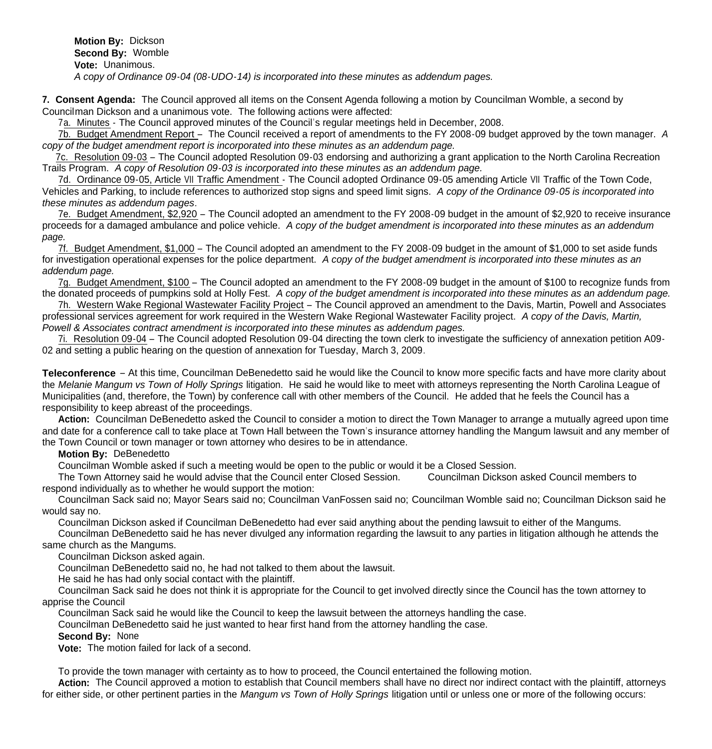**Motion By:** Dickson **Second By:** Womble **Vote:** Unanimous. *A copy of Ordinance 09-04 (08-UDO-14) is incorporated into these minutes as addendum pages.*

**7. Consent Agenda:** The Council approved all items on the Consent Agenda following a motion by Councilman Womble, a second by Councilman Dickson and a unanimous vote. The following actions were affected:

7a. Minutes - The Council approved minutes of the Council's regular meetings held in December, 2008.

7b. Budget Amendment Report – The Council received a report of amendments to the FY 2008-09 budget approved by the town manager. *A copy of the budget amendment report is incorporated into these minutes as an addendum page.*

 7c. Resolution 09-03 – The Council adopted Resolution 09-03 endorsing and authorizing a grant application to the North Carolina Recreation Trails Program. *A copy of Resolution 09-03 is incorporated into these minutes as an addendum page.*

7d. Ordinance 09-05, Article VII Traffic Amendment - The Council adopted Ordinance 09-05 amending Article VII Traffic of the Town Code, Vehicles and Parking, to include references to authorized stop signs and speed limit signs. *A copy of the Ordinance 09-05 is incorporated into these minutes as addendum pages.* 

7e. Budget Amendment, \$2,920 – The Council adopted an amendment to the FY 2008-09 budget in the amount of \$2,920 to receive insurance proceeds for a damaged ambulance and police vehicle. *A copy of the budget amendment is incorporated into these minutes as an addendum page.* 

 7f. Budget Amendment, \$1,000 – The Council adopted an amendment to the FY 2008-09 budget in the amount of \$1,000 to set aside funds for investigation operational expenses for the police department. *A copy of the budget amendment is incorporated into these minutes as an addendum page.* 

 7g. Budget Amendment, \$100 – The Council adopted an amendment to the FY 2008-09 budget in the amount of \$100 to recognize funds from the donated proceeds of pumpkins sold at Holly Fest. *A copy of the budget amendment is incorporated into these minutes as an addendum page.* 

 7h. Western Wake Regional Wastewater Facility Project – The Council approved an amendment to the Davis, Martin, Powell and Associates professional services agreement for work required in the Western Wake Regional Wastewater Facility project. *A copy of the Davis, Martin, Powell & Associates contract amendment is incorporated into these minutes as addendum pages.*

7i. Resolution 09-04 – The Council adopted Resolution 09-04 directing the town clerk to investigate the sufficiency of annexation petition A09- 02 and setting a public hearing on the question of annexation for Tuesday, March 3, 2009.

**Teleconference** – At this time, Councilman DeBenedetto said he would like the Council to know more specific facts and have more clarity about the *Melanie Mangum vs Town of Holly Springs* litigation. He said he would like to meet with attorneys representing the North Carolina League of Municipalities (and, therefore, the Town) by conference call with other members of the Council. He added that he feels the Council has a responsibility to keep abreast of the proceedings.

 **Action:** Councilman DeBenedetto asked the Council to consider a motion to direct the Town Manager to arrange a mutually agreed upon time and date for a conference call to take place at Town Hall between the Town's insurance attorney handling the Mangum lawsuit and any member of the Town Council or town manager or town attorney who desires to be in attendance.

## **Motion By:** DeBenedetto

Councilman Womble asked if such a meeting would be open to the public or would it be a Closed Session.

 The Town Attorney said he would advise that the Council enter Closed Session. Councilman Dickson asked Council members to respond individually as to whether he would support the motion:

 Councilman Sack said no; Mayor Sears said no; Councilman VanFossen said no; Councilman Womble said no; Councilman Dickson said he would say no.

Councilman Dickson asked if Councilman DeBenedetto had ever said anything about the pending lawsuit to either of the Mangums.

 Councilman DeBenedetto said he has never divulged any information regarding the lawsuit to any parties in litigation although he attends the same church as the Mangums.

Councilman Dickson asked again.

Councilman DeBenedetto said no, he had not talked to them about the lawsuit.

He said he has had only social contact with the plaintiff.

 Councilman Sack said he does not think it is appropriate for the Council to get involved directly since the Council has the town attorney to apprise the Council

Councilman Sack said he would like the Council to keep the lawsuit between the attorneys handling the case.

Councilman DeBenedetto said he just wanted to hear first hand from the attorney handling the case.

## **Second By:** None

**Vote:** The motion failed for lack of a second.

To provide the town manager with certainty as to how to proceed, the Council entertained the following motion.

Action: The Council approved a motion to establish that Council members shall have no direct nor indirect contact with the plaintiff, attorneys for either side, or other pertinent parties in the *Mangum vs Town of Holly Springs* litigation until or unless one or more of the following occurs: